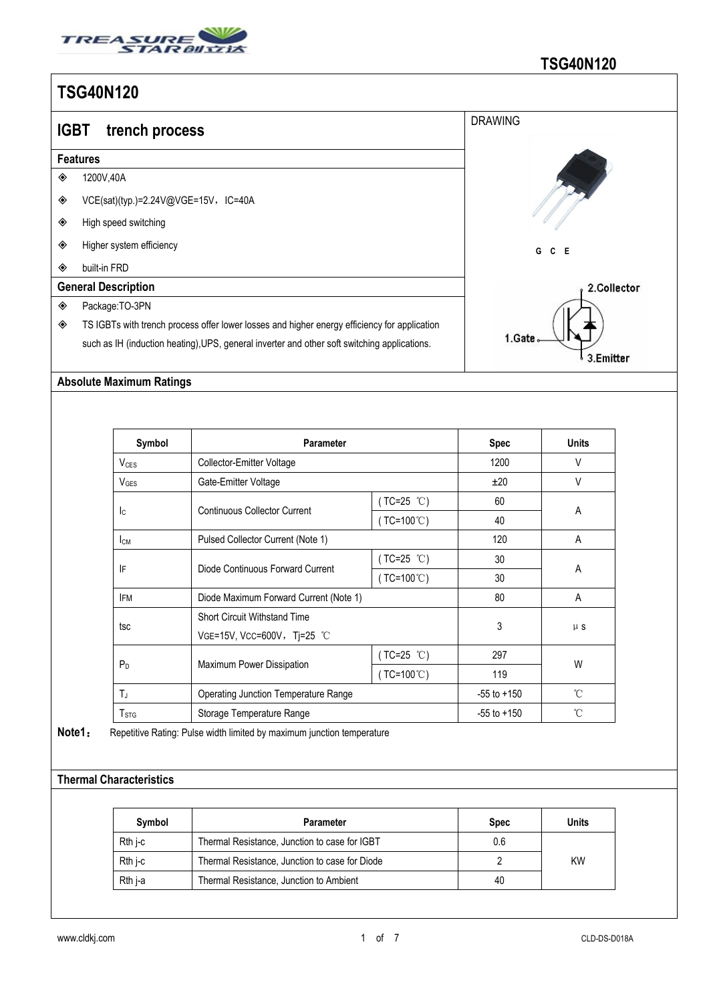

| <b>IGBT</b> | trench process                                                                               | <b>DRAWING</b> |  |  |  |  |  |  |  |
|-------------|----------------------------------------------------------------------------------------------|----------------|--|--|--|--|--|--|--|
|             | <b>Features</b>                                                                              |                |  |  |  |  |  |  |  |
| ◈           | 1200V,40A                                                                                    |                |  |  |  |  |  |  |  |
| ◈           | VCE(sat)(typ.)=2.24V@VGE=15V, IC=40A                                                         |                |  |  |  |  |  |  |  |
| ◈           | High speed switching                                                                         |                |  |  |  |  |  |  |  |
| ◈           | Higher system efficiency                                                                     | G<br>$C$ $E$   |  |  |  |  |  |  |  |
| ◈           | built-in FRD                                                                                 |                |  |  |  |  |  |  |  |
|             | <b>General Description</b>                                                                   | 2.Collector    |  |  |  |  |  |  |  |
| ◈           | Package:TO-3PN                                                                               |                |  |  |  |  |  |  |  |
| ◈           | TS IGBTs with trench process offer lower losses and higher energy efficiency for application |                |  |  |  |  |  |  |  |
|             | such as IH (induction heating), UPS, general inverter and other soft switching applications. | 1.Gate         |  |  |  |  |  |  |  |
|             |                                                                                              | 3.Emitter      |  |  |  |  |  |  |  |

#### **Absolute Maximum Ratings**

| Symbol                 | <b>Parameter</b>                            |                     | <b>Spec</b>     | <b>Units</b> |
|------------------------|---------------------------------------------|---------------------|-----------------|--------------|
| <b>V<sub>CES</sub></b> | Collector-Emitter Voltage                   |                     | 1200            | V            |
| V <sub>GES</sub>       | Gate-Emitter Voltage                        |                     | ±20             | V            |
|                        | <b>Continuous Collector Current</b>         | $(TC=25 °C)$        | 60              | A            |
| lc.                    |                                             | $(TC=100^{\circ}C)$ | 40              |              |
| Iсм                    | Pulsed Collector Current (Note 1)           | 120                 | Α               |              |
|                        | Diode Continuous Forward Current            | $(TC=25 °C)$        | 30              | A            |
| IF                     |                                             | $(TC=100^{\circ}C)$ | 30              |              |
| <b>IFM</b>             | Diode Maximum Forward Current (Note 1)      |                     | 80              | A            |
|                        | <b>Short Circuit Withstand Time</b>         |                     | 3               | $\upmu$ s    |
| tsc                    | VGE=15V, VCC=600V, Tj=25 °C                 |                     |                 |              |
|                        | Maximum Power Dissipation                   | $(TC=25 °C)$        | 297             | W            |
| $P_D$                  |                                             | $(TC=100^{\circ}C)$ | 119             |              |
| $T_J$                  | <b>Operating Junction Temperature Range</b> |                     | $-55$ to $+150$ | $^{\circ}$ C |
| T <sub>STG</sub>       | Storage Temperature Range                   |                     | $-55$ to $+150$ | $^{\circ}$ C |

Note1: Repetitive Rating: Pulse width limited by maximum junction temperature

#### **Thermal Characteristics**

| <b>Symbol</b> | Parameter                                      | <b>Spec</b> | Units     |
|---------------|------------------------------------------------|-------------|-----------|
| Rth i-c       | Thermal Resistance, Junction to case for IGBT  | 0.6         |           |
| Rth j-c       | Thermal Resistance, Junction to case for Diode |             | <b>KW</b> |
| Rth j-a       | Thermal Resistance, Junction to Ambient        | 40          |           |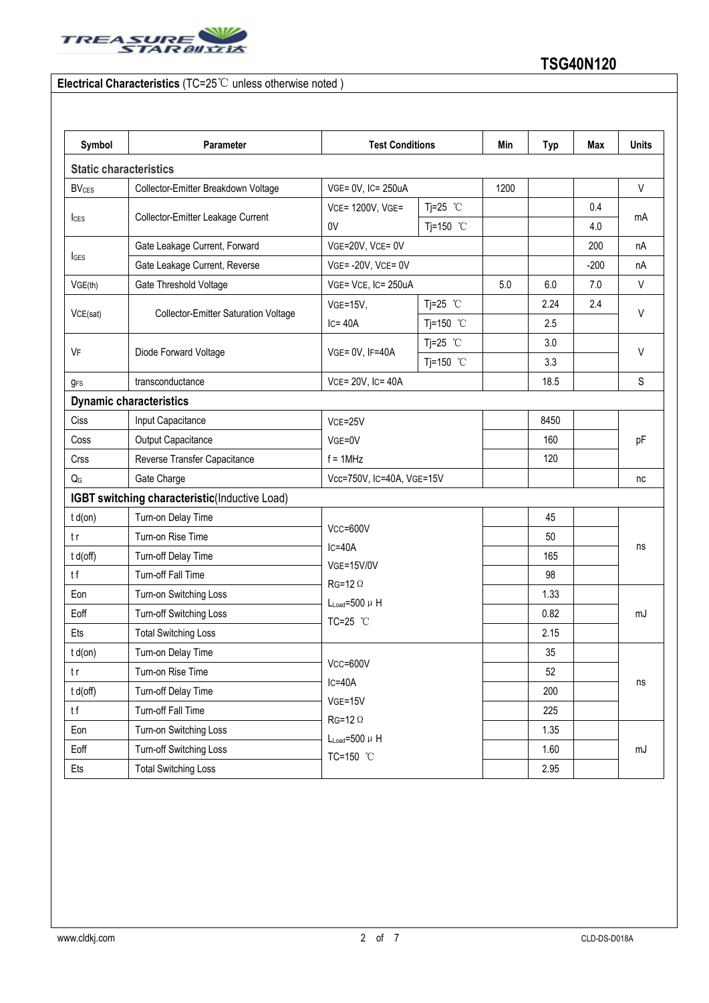

### **Electrical Characteristics** (TC=25℃ unless otherwise noted )

| Symbol                    | Parameter                                     | <b>Test Conditions</b>                                                                  |            | Min  | <b>Typ</b> | Max    | <b>Units</b> |  |
|---------------------------|-----------------------------------------------|-----------------------------------------------------------------------------------------|------------|------|------------|--------|--------------|--|
|                           | <b>Static characteristics</b>                 |                                                                                         |            |      |            |        |              |  |
| <b>BV<sub>CES</sub></b>   | Collector-Emitter Breakdown Voltage           | VGE= 0V, IC= 250uA                                                                      |            | 1200 |            |        | $\vee$       |  |
|                           | Collector-Emitter Leakage Current             | Tj=25 $°C$<br>VCE= 1200V, VGE=                                                          |            |      |            | 0.4    |              |  |
| $l_{\text{CES}}$          |                                               | 0V                                                                                      | Tj=150 °C  |      |            | 4.0    | mA           |  |
|                           | Gate Leakage Current, Forward                 | VGE=20V, VCE= 0V                                                                        |            |      |            | 200    | nA           |  |
| <b>I</b> GES              | Gate Leakage Current, Reverse                 | $VGE = -20V$ , $VCE = 0V$                                                               |            |      |            | $-200$ | nA           |  |
| VGE(th)                   | Gate Threshold Voltage                        | VGE= VCE, IC= 250uA                                                                     |            | 5.0  | 6.0        | 7.0    | V            |  |
|                           | <b>Collector-Emitter Saturation Voltage</b>   | $VGE=15V,$                                                                              | Tj=25 $°C$ |      | 2.24       | 2.4    |              |  |
| VCE(sat)                  |                                               | $IC = 40A$                                                                              | Tj=150 °C  |      | 2.5        |        | V            |  |
|                           | Diode Forward Voltage                         | VGE= 0V, IF=40A                                                                         | Tj=25 $°C$ |      | 3.0        |        | $\vee$       |  |
| VF                        |                                               |                                                                                         | Tj=150 °C  |      | 3.3        |        |              |  |
| <b>g</b> <sub>FS</sub>    | transconductance                              | VCE= 20V, IC= 40A                                                                       |            |      | 18.5       |        | S            |  |
|                           | <b>Dynamic characteristics</b>                |                                                                                         |            |      |            |        |              |  |
| Ciss                      | Input Capacitance                             | $VCE = 25V$                                                                             |            | 8450 |            | pF     |              |  |
| Coss                      | Output Capacitance                            | VGE=0V<br>$f = 1$ MHz                                                                   |            |      | 160        |        |              |  |
| Crss                      | Reverse Transfer Capacitance                  |                                                                                         |            |      | 120        |        |              |  |
| $\mathsf{Q}_{\mathsf{G}}$ | Gate Charge                                   | Vcc=750V, IC=40A, VGE=15V                                                               |            |      |            |        | nc           |  |
|                           | IGBT switching characteristic(Inductive Load) |                                                                                         |            |      |            |        |              |  |
| $t d($ on $)$             | Turn-on Delay Time                            |                                                                                         |            |      | 45         |        |              |  |
| t r                       | Turn-on Rise Time                             | Vcc=600V                                                                                |            |      | 50         |        |              |  |
| t d(off)                  | Turn-off Delay Time                           | $IC = 40A$<br><b>VGE=15V/0V</b><br>$RG=12 \Omega$<br>$L_{Load} = 500 \mu H$<br>TC=25 °C |            |      | 165        |        | ns<br>mJ     |  |
| tf                        | Turn-off Fall Time                            |                                                                                         |            |      | 98         |        |              |  |
| Eon                       | Turn-on Switching Loss                        |                                                                                         |            |      | 1.33       |        |              |  |
| Eoff                      | Turn-off Switching Loss                       |                                                                                         |            |      | 0.82       |        |              |  |
| Ets                       | <b>Total Switching Loss</b>                   |                                                                                         |            |      | 2.15       |        |              |  |
| $t d($ on $)$             | Turn-on Delay Time                            | $Vcc = 600V$<br>$IC = 40A$<br>$VGE = 15V$                                               |            |      | 35         |        | ns           |  |
| t r                       | Turn-on Rise Time                             |                                                                                         |            |      | 52         |        |              |  |
| t d(off)                  | Turn-off Delay Time                           |                                                                                         |            |      | 200        |        |              |  |
| tf                        | Turn-off Fall Time                            |                                                                                         |            |      | 225        |        |              |  |
| Eon                       | Turn-on Switching Loss                        | $RG=12 \Omega$<br>$L_{Load} = 500 \mu H$                                                |            |      | 1.35       |        |              |  |
| Eoff                      | Turn-off Switching Loss                       | TC=150 °C                                                                               |            |      | 1.60       |        | mJ           |  |
| Ets                       | <b>Total Switching Loss</b>                   |                                                                                         |            |      | 2.95       |        |              |  |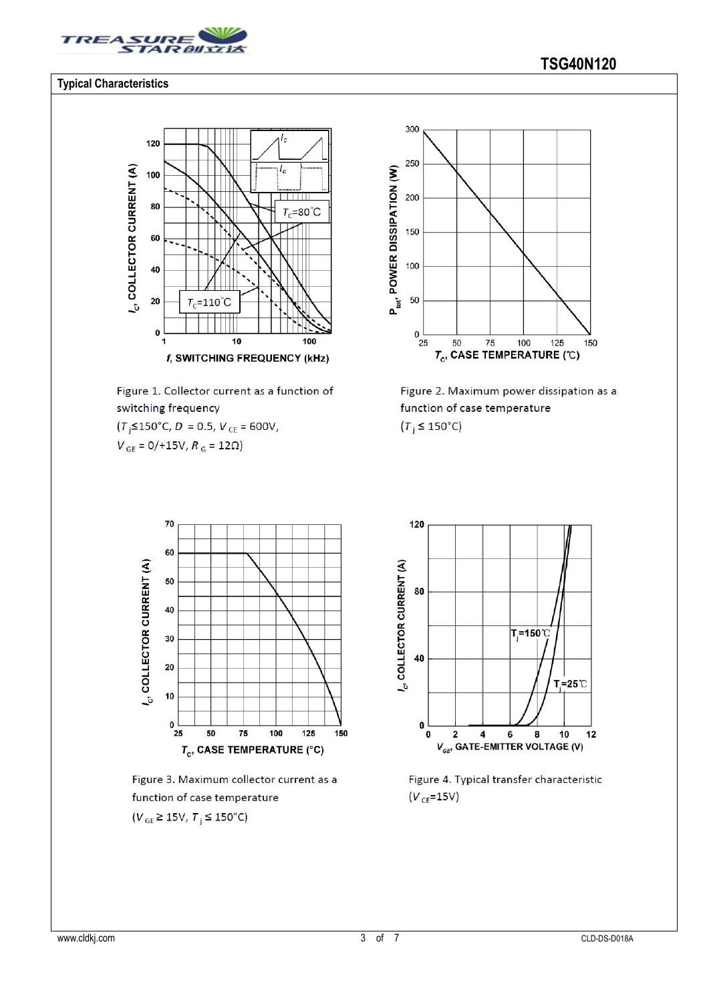

#### **Typical Characteristics**



Figure 1. Collector current as a function of switching frequency

 $(T$ <sub>i</sub> $\leq$ 150°C, D = 0.5, V<sub>CE</sub> = 600V,

 $V_{GE} = 0/115V, R_G = 12\Omega$ 



Figure 2. Maximum power dissipation as a function of case temperature  $(T_i \leq 150^{\circ}C)$ 



Figure 3. Maximum collector current as a function of case temperature  $(V_{GE} \ge 15V, T_{i} \le 150^{\circ}C)$ 



Figure 4. Typical transfer characteristic  $(V_{CE} = 15V)$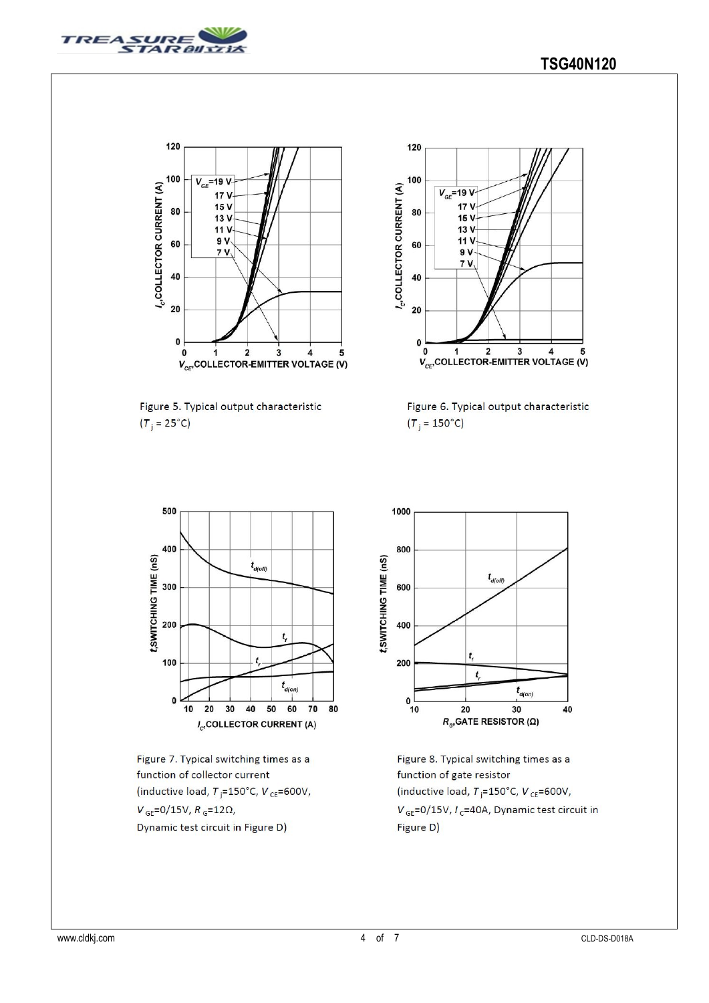



Figure 5. Typical output characteristic  $(T_i = 25^{\circ}C)$ 



Figure 6. Typical output characteristic  $(T_i = 150^{\circ}C)$ 



Figure 7. Typical switching times as a function of collector current (inductive load,  $T$ <sub>i</sub>=150°C,  $V$ <sub>CE</sub>=600V,  $V_{GE}$ =0/15V,  $R_{G}$ =12Ω, Dynamic test circuit in Figure D)



Figure 8. Typical switching times as a function of gate resistor (inductive load,  $T_i = 150^{\circ}$ C, V<sub>CE</sub>=600V,  $V_{GE}$ =0/15V,  $I_c$ =40A, Dynamic test circuit in Figure D)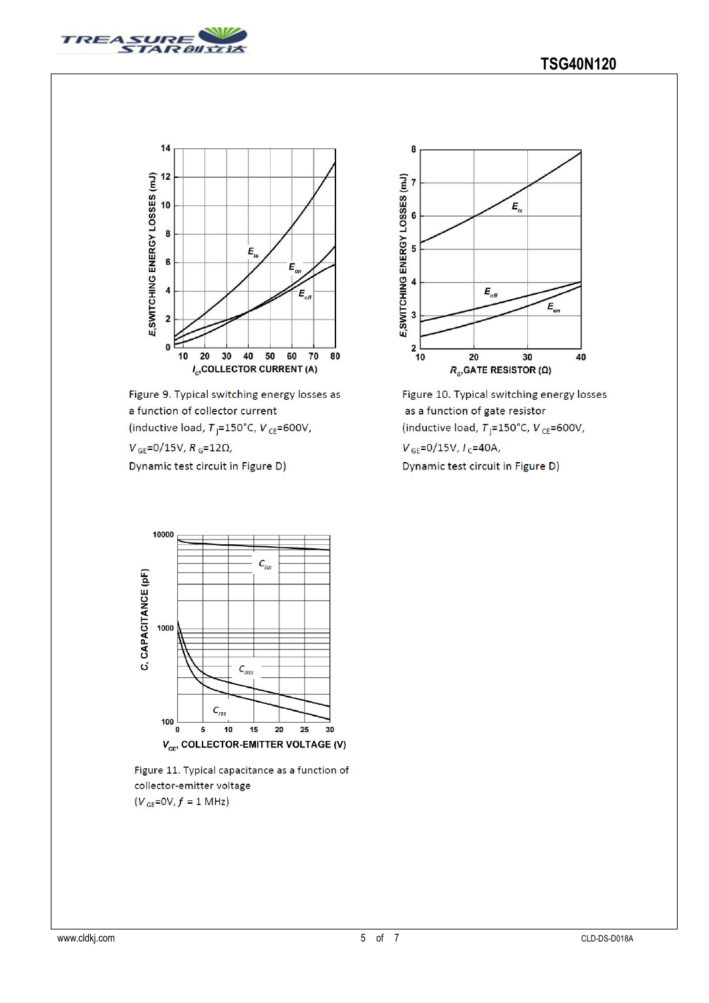



Figure 9. Typical switching energy losses as a function of collector current (inductive load,  $T_{\rm j}$ =150°C,  $V_{\rm CE}$ =600V,

 $V_{GE} = 0/15V, R_G = 12\Omega,$ 

Dynamic test circuit in Figure D)







Figure 11. Typical capacitance as a function of collector-emitter voltage  $(V_{GE}=0V, f = 1 MHz)$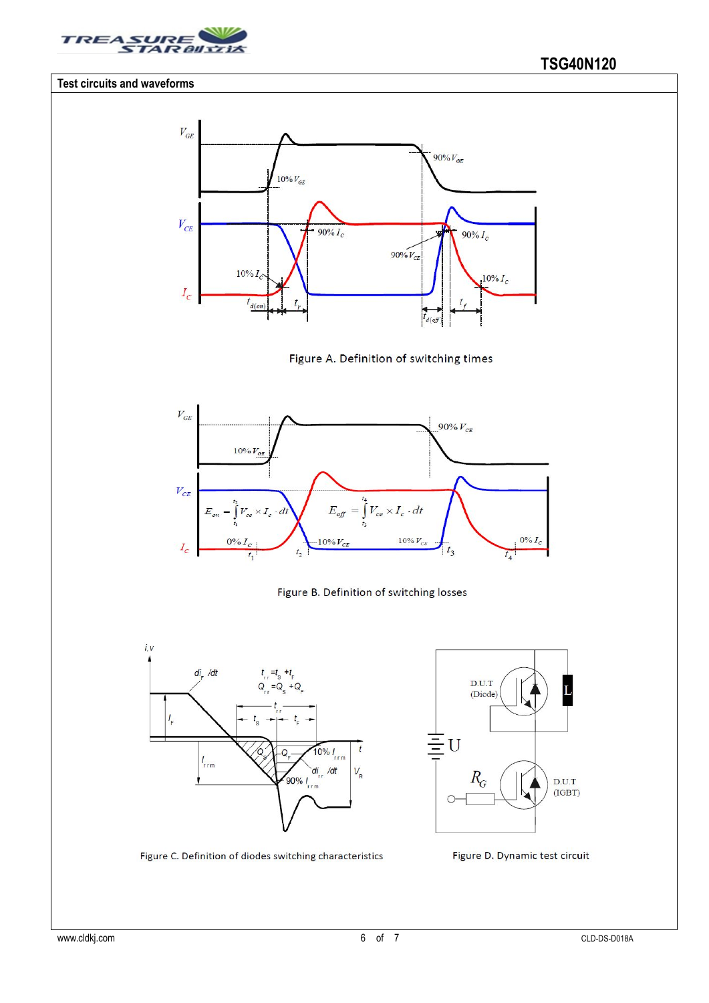

#### **Test circuits and waveforms**













Figure C. Definition of diodes switching characteristics

Figure D. Dynamic test circuit